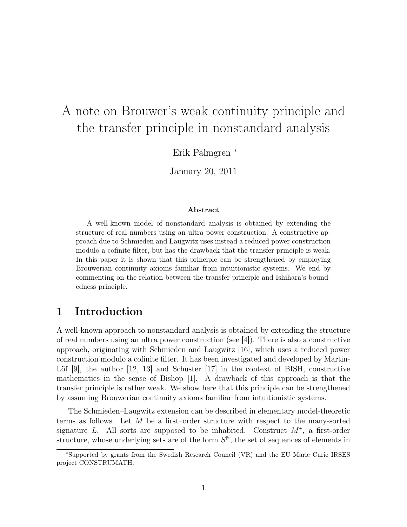# A note on Brouwer's weak continuity principle and the transfer principle in nonstandard analysis

Erik Palmgren <sup>∗</sup>

January 20, 2011

#### Abstract

A well-known model of nonstandard analysis is obtained by extending the structure of real numbers using an ultra power construction. A constructive approach due to Schmieden and Laugwitz uses instead a reduced power construction modulo a cofinite filter, but has the drawback that the transfer principle is weak. In this paper it is shown that this principle can be strengthened by employing Brouwerian continuity axioms familiar from intuitionistic systems. We end by commenting on the relation between the transfer principle and Ishihara's boundedness principle.

# 1 Introduction

A well-known approach to nonstandard analysis is obtained by extending the structure of real numbers using an ultra power construction (see [4]). There is also a constructive approach, originating with Schmieden and Laugwitz [16], which uses a reduced power construction modulo a cofinite filter. It has been investigated and developed by Martin-Löf [9], the author [12, 13] and Schuster [17] in the context of BISH, constructive mathematics in the sense of Bishop [1]. A drawback of this approach is that the transfer principle is rather weak. We show here that this principle can be strengthened by assuming Brouwerian continuity axioms familiar from intuitionistic systems.

The Schmieden–Laugwitz extension can be described in elementary model-theoretic terms as follows. Let  $M$  be a first–order structure with respect to the many-sorted signature L. All sorts are supposed to be inhabited. Construct  $M^*$ , a first-order structure, whose underlying sets are of the form  $S^{\mathbb{N}}$ , the set of sequences of elements in

<sup>∗</sup>Supported by grants from the Swedish Research Council (VR) and the EU Marie Curie IRSES project CONSTRUMATH.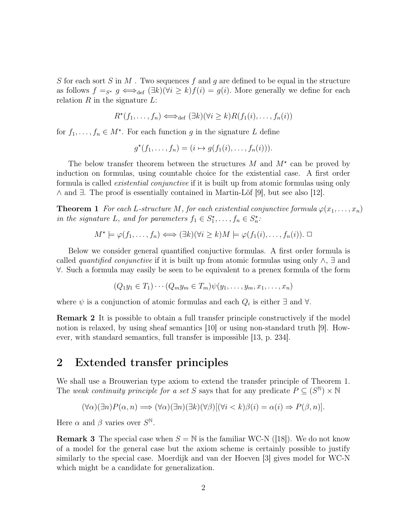S for each sort S in M. Two sequences f and g are defined to be equal in the structure as follows  $f =_{S^*} g \iff_{def} (\exists k)(\forall i \geq k) f(i) = g(i)$ . More generally we define for each relation  $R$  in the signature  $L$ :

$$
R^*(f_1,\ldots,f_n) \Longleftrightarrow_{\text{def}} (\exists k)(\forall i \ge k)R(f_1(i),\ldots,f_n(i))
$$

for  $f_1, \ldots, f_n \in M^*$ . For each function g in the signature L define

$$
g^*(f_1,\ldots,f_n)=(i\mapsto g(f_1(i),\ldots,f_n(i))).
$$

The below transfer theorem between the structures  $M$  and  $M^*$  can be proved by induction on formulas, using countable choice for the existential case. A first order formula is called *existential conjunctive* if it is built up from atomic formulas using only ∧ and ∃. The proof is essentially contained in Martin-Löf [9], but see also [12].

**Theorem 1** *For each L-structure M, for each existential conjunctive formula*  $\varphi(x_1, \ldots, x_n)$ *in the signature L, and for parameters*  $f_1 \in S_1^*, \ldots, f_n \in S_n^*$ .

$$
M^* \models \varphi(f_1, \dots, f_n) \iff (\exists k)(\forall i \ge k)M \models \varphi(f_1(i), \dots, f_n(i)). \ \Box
$$

Below we consider general quantified conjuctive formulas. A first order formula is called *quantified conjunctive* if it is built up from atomic formulas using only ∧, ∃ and ∀. Such a formula may easily be seen to be equivalent to a prenex formula of the form

$$
(Q_1y_1 \in T_1)\cdots(Q_my_m \in T_m)\psi(y_1,\ldots,y_m,x_1,\ldots,x_n)
$$

where  $\psi$  is a conjunction of atomic formulas and each  $Q_i$  is either  $\exists$  and  $\forall$ .

Remark 2 It is possible to obtain a full transfer principle constructively if the model notion is relaxed, by using sheaf semantics [10] or using non-standard truth [9]. However, with standard semantics, full transfer is impossible [13, p. 234].

### 2 Extended transfer principles

We shall use a Brouwerian type axiom to extend the transfer principle of Theorem 1. The *weak continuity principle for a set* S says that for any predicate  $P \subseteq (S^{\mathbb{N}}) \times \mathbb{N}$ 

$$
(\forall \alpha)(\exists n) P(\alpha, n) \Longrightarrow (\forall \alpha)(\exists n)(\exists k)(\forall \beta)[(\forall i < k)\beta(i) = \alpha(i) \Rightarrow P(\beta, n)].
$$

Here  $\alpha$  and  $\beta$  varies over  $S^{\mathbb{N}}$ .

**Remark 3** The special case when  $S = N$  is the familiar WC-N ([18]). We do not know of a model for the general case but the axiom scheme is certainly possible to justify similarly to the special case. Moerdijk and van der Hoeven [3] gives model for WC-N which might be a candidate for generalization.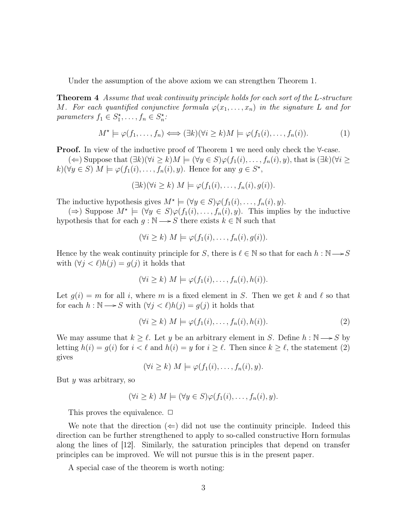Under the assumption of the above axiom we can strengthen Theorem 1.

Theorem 4 *Assume that weak continuity principle holds for each sort of the* L*-structure* M. For each quantified conjunctive formula  $\varphi(x_1, \ldots, x_n)$  in the signature L and for *parameters*  $f_1 \in S_1^*, \ldots, f_n \in S_n^*$ :

$$
M^* \models \varphi(f_1, \dots, f_n) \iff (\exists k)(\forall i \ge k)M \models \varphi(f_1(i), \dots, f_n(i)). \tag{1}
$$

**Proof.** In view of the inductive proof of Theorem 1 we need only check the  $\forall$ -case.  $(\Leftarrow)$  Suppose that  $(\exists k)(\forall i \geq k)M \models (\forall y \in S)\varphi(f_1(i), \ldots, f_n(i), y)$ , that is  $(\exists k)(\forall i \geq k)$ 

 $k(\forall y \in S) \ M \models \varphi(f_1(i), \ldots, f_n(i), y)$ . Hence for any  $g \in S^*$ ,

$$
(\exists k)(\forall i \geq k) \ M \models \varphi(f_1(i), \ldots, f_n(i), g(i)).
$$

The inductive hypothesis gives  $M^* \models (\forall y \in S) \varphi(f_1(i), \ldots, f_n(i), y).$ 

(⇒) Suppose  $M^*$   $\models$   $(\forall y \in S)\varphi(f_1(i), \ldots, f_n(i), y)$ . This implies by the inductive hypothesis that for each  $g : \mathbb{N} \longrightarrow S$  there exists  $k \in \mathbb{N}$  such that

$$
(\forall i \geq k) \ M \models \varphi(f_1(i), \ldots, f_n(i), g(i)).
$$

Hence by the weak continuity principle for S, there is  $\ell \in \mathbb{N}$  so that for each  $h : \mathbb{N} \longrightarrow S$ with  $(\forall j < \ell)h(j) = g(j)$  it holds that

$$
(\forall i \geq k) \ M \models \varphi(f_1(i), \ldots, f_n(i), h(i)).
$$

Let  $g(i) = m$  for all i, where m is a fixed element in S. Then we get k and l so that for each  $h : \mathbb{N} \longrightarrow S$  with  $(\forall j < \ell)h(j) = g(j)$  it holds that

$$
(\forall i \ge k) \ M \models \varphi(f_1(i), \dots, f_n(i), h(i)). \tag{2}
$$

We may assume that  $k \geq \ell$ . Let y be an arbitrary element in S. Define  $h : \mathbb{N} \longrightarrow S$  by letting  $h(i) = g(i)$  for  $i < \ell$  and  $h(i) = y$  for  $i \geq \ell$ . Then since  $k \geq \ell$ , the statement (2) gives

 $(\forall i \geq k)$   $M \models \varphi(f_1(i), \ldots, f_n(i), y)$ .

But y was arbitrary, so

$$
(\forall i \geq k) \ M \models (\forall y \in S) \varphi(f_1(i), \dots, f_n(i), y).
$$

This proves the equivalence.  $\Box$ 

We note that the direction  $(\Leftarrow)$  did not use the continuity principle. Indeed this direction can be further strengthened to apply to so-called constructive Horn formulas along the lines of [12]. Similarly, the saturation principles that depend on transfer principles can be improved. We will not pursue this is in the present paper.

A special case of the theorem is worth noting: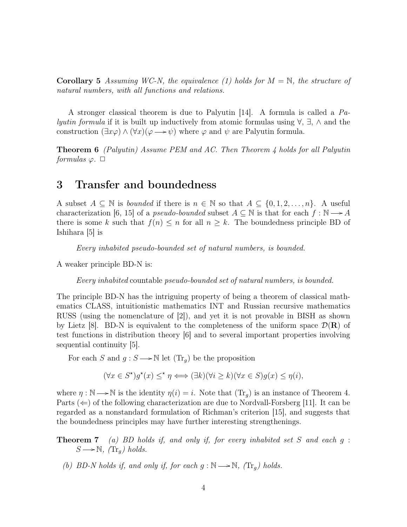Corollary 5 *Assuming WC-N, the equivalence (1) holds for* M = N*, the structure of natural numbers, with all functions and relations.*

A stronger classical theorem is due to Palyutin [14]. A formula is called a *Palyutin formula* if it is built up inductively from atomic formulas using ∀, ∃, ∧ and the construction  $(\exists x \varphi) \wedge (\forall x)(\varphi \rightarrow \psi)$  where  $\varphi$  and  $\psi$  are Palyutin formula.

Theorem 6 *(Palyutin) Assume PEM and AC. Then Theorem 4 holds for all Palyutin formulas*  $\varphi$ .  $\Box$ 

# 3 Transfer and boundedness

A subset  $A \subseteq \mathbb{N}$  is *bounded* if there is  $n \in \mathbb{N}$  so that  $A \subseteq \{0, 1, 2, \ldots, n\}$ . A useful characterization [6, 15] of a *pseudo-bounded* subset  $A \subseteq \mathbb{N}$  is that for each  $f : \mathbb{N} \longrightarrow A$ there is some k such that  $f(n) \leq n$  for all  $n \geq k$ . The boundedness principle BD of Ishihara [5] is

*Every inhabited pseudo-bounded set of natural numbers, is bounded.*

A weaker principle BD-N is:

*Every inhabited* countable *pseudo-bounded set of natural numbers, is bounded.*

The principle BD-N has the intriguing property of being a theorem of classical mathematics CLASS, intuitionistic mathematics INT and Russian recursive mathematics RUSS (using the nomenclature of [2]), and yet it is not provable in BISH as shown by Lietz [8]. BD-N is equivalent to the completeness of the uniform space  $\mathcal{D}(\mathbf{R})$  of test functions in distribution theory [6] and to several important properties involving sequential continuity [5].

For each S and  $g : S \longrightarrow \mathbb{N}$  let  $(\text{Tr}_q)$  be the proposition

$$
(\forall x \in S^{\star}) g^{\star}(x) \leq^{\star} \eta \Longleftrightarrow (\exists k)(\forall i \geq k)(\forall x \in S) g(x) \leq \eta(i),
$$

where  $\eta : \mathbb{N} \longrightarrow \mathbb{N}$  is the identity  $\eta(i) = i$ . Note that  $(\text{Tr}_q)$  is an instance of Theorem 4. Parts  $(\Leftarrow)$  of the following characterization are due to Nordvall-Forsberg [11]. It can be regarded as a nonstandard formulation of Richman's criterion [15], and suggests that the boundedness principles may have further interesting strengthenings.

Theorem 7 *(a) BD holds if, and only if, for every inhabited set* S *and each* g :  $S \longrightarrow \mathbb{N}$ , (Tr<sub>g</sub>) holds.

*(b) BD-N holds if, and only if, for each g* :  $\mathbb{N} \longrightarrow \mathbb{N}$ *, (Tr<sub>g</sub>) holds.*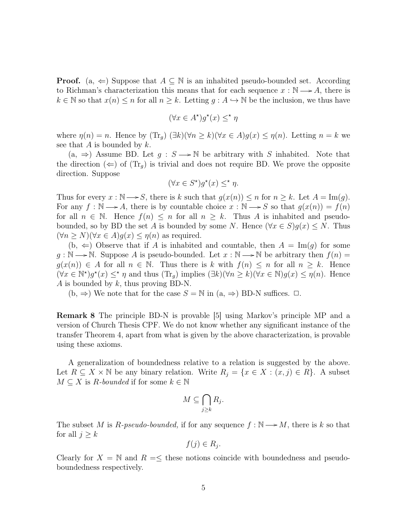**Proof.** (a,  $\Leftarrow$ ) Suppose that  $A \subseteq \mathbb{N}$  is an inhabited pseudo-bounded set. According to Richman's characterization this means that for each sequence  $x : \mathbb{N} \longrightarrow A$ , there is  $k \in \mathbb{N}$  so that  $x(n) \leq n$  for all  $n \geq k$ . Letting  $g : A \hookrightarrow \mathbb{N}$  be the inclusion, we thus have

$$
(\forall x \in A^\star) g^\star(x) \leq^\star \eta
$$

where  $\eta(n) = n$ . Hence by  $(\text{Tr}_q)(\exists k)(\forall n \ge k)(\forall x \in A)g(x) \le \eta(n)$ . Letting  $n = k$  we see that A is bounded by  $k$ .

 $(a, \Rightarrow)$  Assume BD. Let  $g : S \longrightarrow \mathbb{N}$  be arbitrary with S inhabited. Note that the direction  $(\Leftarrow)$  of  $(\text{Tr}_q)$  is trivial and does not require BD. We prove the opposite direction. Suppose

$$
(\forall x \in S^{\star}) g^{\star}(x) \leq^{\star} \eta.
$$

Thus for every  $x : \mathbb{N} \longrightarrow S$ , there is k such that  $g(x(n)) \leq n$  for  $n \geq k$ . Let  $A = \text{Im}(g)$ . For any  $f : \mathbb{N} \longrightarrow A$ , there is by countable choice  $x : \mathbb{N} \longrightarrow S$  so that  $g(x(n)) = f(n)$ for all  $n \in \mathbb{N}$ . Hence  $f(n) \leq n$  for all  $n \geq k$ . Thus A is inhabited and pseudobounded, so by BD the set A is bounded by some N. Hence  $(\forall x \in S)g(x) \leq N$ . Thus  $(\forall n \geq N)(\forall x \in A)g(x) \leq \eta(n)$  as required.

 $(b, \Leftarrow)$  Observe that if A is inhabited and countable, then  $A = \text{Im}(q)$  for some  $g : \mathbb{N} \longrightarrow \mathbb{N}$ . Suppose A is pseudo-bounded. Let  $x : \mathbb{N} \longrightarrow \mathbb{N}$  be arbitrary then  $f(n) =$  $g(x(n)) \in A$  for all  $n \in \mathbb{N}$ . Thus there is k with  $f(n) \leq n$  for all  $n \geq k$ . Hence  $(\forall x \in \mathbb{N}^*)$  $g^*(x) \leq^* \eta$  and thus  $(\text{Tr}_g)$  implies  $(\exists k)(\forall n \geq k)(\forall x \in \mathbb{N})$  $g(x) \leq \eta(n)$ . Hence A is bounded by  $k$ , thus proving BD-N.

 $(b, \Rightarrow)$  We note that for the case  $S = N$  in  $(a, \Rightarrow)$  BD-N suffices.  $\Box$ .

Remark 8 The principle BD-N is provable [5] using Markov's principle MP and a version of Church Thesis CPF. We do not know whether any significant instance of the transfer Theorem 4, apart from what is given by the above characterization, is provable using these axioms.

A generalization of boundedness relative to a relation is suggested by the above. Let  $R \subseteq X \times \mathbb{N}$  be any binary relation. Write  $R_j = \{x \in X : (x, j) \in R\}$ . A subset  $M \subseteq X$  is R-bounded if for some  $k \in \mathbb{N}$ 

$$
M \subseteq \bigcap_{j \geq k} R_j.
$$

The subset M is R-pseudo-bounded, if for any sequence  $f : \mathbb{N} \longrightarrow M$ , there is k so that for all  $j \geq k$ 

$$
f(j) \in R_j.
$$

Clearly for  $X = \mathbb{N}$  and  $R = \leq$  these notions coincide with boundedness and pseudoboundedness respectively.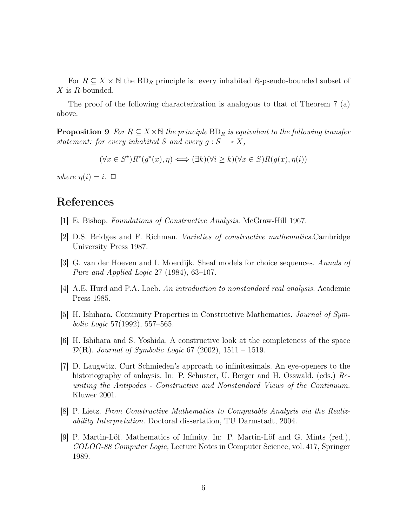For  $R \subseteq X \times \mathbb{N}$  the BD<sub>R</sub> principle is: every inhabited R-pseudo-bounded subset of X is R-bounded.

The proof of the following characterization is analogous to that of Theorem 7 (a) above.

**Proposition 9** *For*  $R \subseteq X \times \mathbb{N}$  *the principle*  $BD_R$  *is equivalent to the following transfer statement:* for every inhabited S and every  $g : S \longrightarrow X$ ,

$$
(\forall x \in S^{\star}) R^{\star}(g^{\star}(x), \eta) \Longleftrightarrow (\exists k)(\forall i \ge k)(\forall x \in S) R(g(x), \eta(i))
$$

*where*  $\eta(i) = i$ .  $\Box$ 

## References

- [1] E. Bishop. *Foundations of Constructive Analysis.* McGraw-Hill 1967.
- [2] D.S. Bridges and F. Richman. *Varieties of constructive mathematics.*Cambridge University Press 1987.
- [3] G. van der Hoeven and I. Moerdijk. Sheaf models for choice sequences. *Annals of Pure and Applied Logic* 27 (1984), 63–107.
- [4] A.E. Hurd and P.A. Loeb. *An introduction to nonstandard real analysis.* Academic Press 1985.
- [5] H. Ishihara. Continuity Properties in Constructive Mathematics. *Journal of Symbolic Logic* 57(1992), 557–565.
- [6] H. Ishihara and S. Yoshida, A constructive look at the completeness of the space D(R). *Journal of Symbolic Logic* 67 (2002), 1511 – 1519.
- [7] D. Laugwitz. Curt Schmieden's approach to infinitesimals. An eye-openers to the historiography of anlaysis. In: P. Schuster, U. Berger and H. Osswald. (eds.) *Reuniting the Antipodes - Constructive and Nonstandard Views of the Continuum.* Kluwer 2001.
- [8] P. Lietz. *From Constructive Mathematics to Computable Analysis via the Realizability Interpretation.* Doctoral dissertation, TU Darmstadt, 2004.
- [9] P. Martin-Löf. Mathematics of Infinity. In: P. Martin-Löf and G. Mints (red.), *COLOG-88 Computer Logic,* Lecture Notes in Computer Science, vol. 417, Springer 1989.